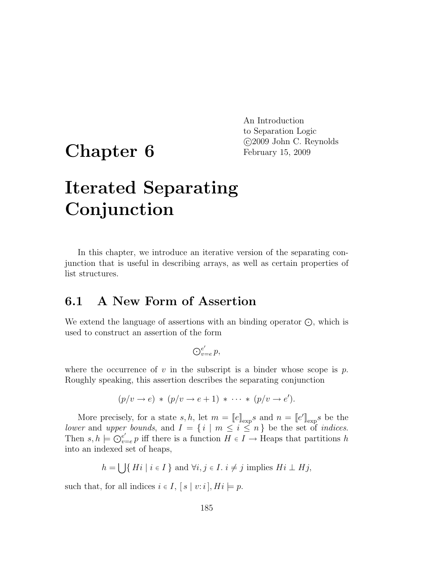## Chapter 6

An Introduction to Separation Logic c 2009 John C. Reynolds February 15, 2009

# Iterated Separating Conjunction

In this chapter, we introduce an iterative version of the separating conjunction that is useful in describing arrays, as well as certain properties of list structures.

#### 6.1 A New Form of Assertion

We extend the language of assertions with an binding operator  $\odot$ , which is used to construct an assertion of the form

$$
\bigodot_{v=e}^{e'} p,
$$

where the occurrence of v in the subscript is a binder whose scope is  $p$ . Roughly speaking, this assertion describes the separating conjunction

$$
(p/v \rightarrow e) * (p/v \rightarrow e+1) * \cdots * (p/v \rightarrow e').
$$

More precisely, for a state  $s, h$ , let  $m = [e]_{\exp} s$  and  $n = [e']_{\exp} s$  be the lower and upper bounds, and  $I = \{i \mid m \leq i \leq n\}$  be the set of *indices*. Then  $s, h \models \bigcirc_{v=1}^{e'}$  $e'_{v=e}$  iff there is a function  $H \in I \longrightarrow$  Heaps that partitions h into an indexed set of heaps,

 $h = \bigcup \{ Hi \mid i \in I \}$  and  $\forall i, j \in I$ .  $i \neq j$  implies  $Hi \perp Hj$ ,

such that, for all indices  $i \in I$ ,  $[s \mid v:i]$ ,  $Hi \models p$ .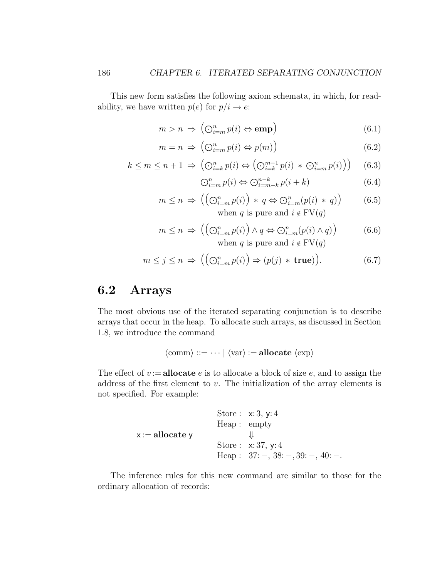This new form satisfies the following axiom schemata, in which, for readability, we have written  $p(e)$  for  $p/i \rightarrow e$ :

$$
m > n \Rightarrow \left(\bigodot_{i=m}^{n} p(i) \Leftrightarrow \text{emp}\right) \tag{6.1}
$$

$$
m = n \implies \left(\bigodot_{i=m}^{n} p(i) \Leftrightarrow p(m)\right) \tag{6.2}
$$

$$
k \le m \le n + 1 \Rightarrow \left(\bigodot_{i=k}^{n} p(i) \Leftrightarrow \left(\bigodot_{i=k}^{m-1} p(i) \ast \bigodot_{i=m}^{n} p(i)\right)\right) \tag{6.3}
$$

$$
\bigodot_{i=m}^{n} p(i) \Leftrightarrow \bigodot_{i=m-k}^{n-k} p(i+k) \tag{6.4}
$$

$$
m \le n \implies \left( \left( \bigodot_{i=m}^{n} p(i) \right) * q \Leftrightarrow \bigodot_{i=m}^{n} (p(i) * q) \right) \tag{6.5}
$$
  
when *q* is pure and  $i \notin \text{FV}(q)$ 

$$
m \le n \implies \left( \left( \bigodot_{i=m}^{n} p(i) \right) \land q \Leftrightarrow \bigodot_{i=m}^{n} (p(i) \land q) \right) \tag{6.6}
$$
  
when *q* is pure and  $i \notin \text{FV}(q)$ 

$$
m \le j \le n \implies \left( \left( \bigodot_{i=m}^{n} p(i) \right) \Rightarrow (p(j) * \text{true}) \right). \tag{6.7}
$$

### 6.2 Arrays

The most obvious use of the iterated separating conjunction is to describe arrays that occur in the heap. To allocate such arrays, as discussed in Section 1.8, we introduce the command

$$
\langle \mathrm{comm} \rangle ::= \cdots \mid \langle \mathrm{var} \rangle := \mathbf{allocate} \langle \mathrm{exp} \rangle
$$

The effect of  $v := \textbf{allocate } e$  is to allocate a block of size e, and to assign the address of the first element to  $v$ . The initialization of the array elements is not specified. For example:

Store: 
$$
x:3
$$
,  $y:4$ 

\nHeap: empty

\n $x := \text{allocate } y$ 

\nStore:  $x:37$ ,  $y:4$ 

\nHeap:  $37: -1$ ,  $38: -1$ ,  $39: -1$ ,  $40: -1$ 

The inference rules for this new command are similar to those for the ordinary allocation of records: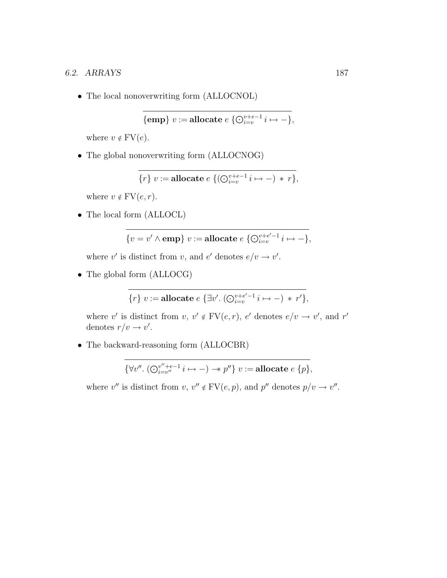• The local nonoverwriting form (ALLOCNOL)

$$
\{\textbf{emp}\} \ v := \textbf{allocate} \ e \ \{ \bigodot_{i=v}^{v+e-1} i \mapsto - \},
$$

where  $v \notin FV(e)$ .

• The global nonoverwriting form (ALLOCNOG)

$$
\{r\} \ v := \textbf{allocate} \ e \ \{ (\bigodot_{i=v}^{v+e-1} i \mapsto -) \ * \ r \},
$$

where  $v \notin \text{FV}(e, r)$ .

• The local form (ALLOCL)

$$
\{v=v'\wedge \mathbf{emp}\} \ v:=\mathbf{allocate}\ e\ \{\bigodot_{i=v}^{v+e'-1}i\mapsto -\},
$$

where v' is distinct from v, and e' denotes  $e/v \rightarrow v'$ .

• The global form (ALLOCG)

$$
\{r\} v := \textbf{allocate} \ e \ \{\exists v'. \ (\bigodot_{i=v}^{v+e'-1} i \mapsto -) \ * \ r' \},
$$

where v' is distinct from  $v, v' \notin FV(e,r), e'$  denotes  $e/v \to v'$ , and r' denotes  $r/v \rightarrow v'$ .

• The backward-reasoning form (ALLOCBR)

$$
\{\forall v'' \ldotp (\bigodot_{i=v''}^{v''+e-1} i \mapsto -) \rightarrow v''\} \ v := \textbf{allocate} \ e \ \{p\},\
$$

where v'' is distinct from  $v, v'' \notin FV(e, p)$ , and  $p''$  denotes  $p/v \to v''$ .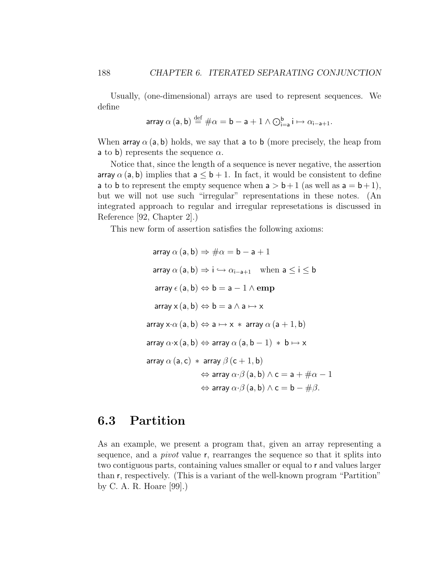Usually, (one-dimensional) arrays are used to represent sequences. We define

$$
\text{array } \alpha \left( \mathsf{a},\mathsf{b} \right) \stackrel{\text{def}}{=} \#\alpha = \mathsf{b}-\mathsf{a}+1 \wedge \bigodot_{i=\mathsf{a}}^{\mathsf{b}} i \mapsto \alpha_{i-\mathsf{a}+1}.
$$

When array  $\alpha$  (a, b) holds, we say that a to b (more precisely, the heap from **a** to **b**) represents the sequence  $\alpha$ .

Notice that, since the length of a sequence is never negative, the assertion array  $\alpha$  (a, b) implies that  $a \leq b + 1$ . In fact, it would be consistent to define a to b to represent the empty sequence when  $a > b + 1$  (as well as  $a = b + 1$ ), but we will not use such "irregular" representations in these notes. (An integrated approach to regular and irregular represetations is discussed in Reference [92, Chapter 2].)

This new form of assertion satisfies the following axioms:

array 
$$
\alpha
$$
 (a, b) ⇒ # $\alpha$  = b – a + 1  
\narray  $\alpha$  (a, b) ⇒ i ↔  $\alpha_{i-a+1}$  when a ≤ i ≤ b  
\narray  $\epsilon$  (a, b) ↔ b = a – 1 ∧ emp  
\narray  $x(a, b) ↔ b = a ∧ a → x$   
\narray  $x·\alpha$  (a, b) ↔ a ↔ x \* array  $\alpha$  (a + 1, b)  
\narray  $\alpha·x(a, b) ↔ array  $\alpha$  (a, b – 1) * b → x  
\narray  $\alpha$  (a, c) * array  $\beta$  (c + 1, b)  
\n⇒ array  $\alpha·\beta$  (a, b) ∧ c = a + # $\alpha$  – 1  
\n⇔ array  $\alpha·\beta$  (a, b) ∧ c = b – # $\beta$ .$ 

#### 6.3 Partition

As an example, we present a program that, given an array representing a sequence, and a pivot value r, rearranges the sequence so that it splits into two contiguous parts, containing values smaller or equal to r and values larger than r, respectively. (This is a variant of the well-known program "Partition" by C. A. R. Hoare [99].)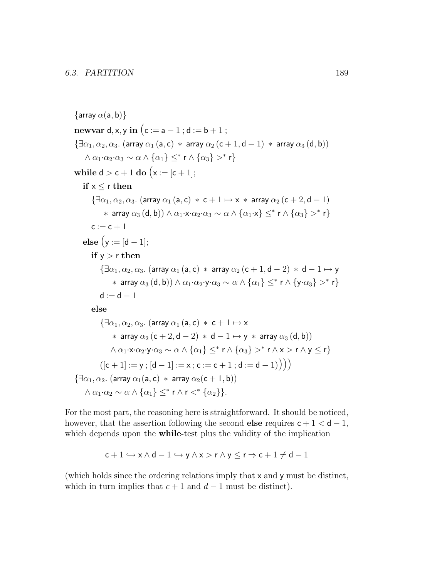$\{$ array  $\alpha$ (a, b) $\}$ newvar d, x, y in  $(c := a - 1; d := b + 1;$  $\{\exists \alpha_1, \alpha_2, \alpha_3\}$ . (array  $\alpha_1$  (a, c)  $*$  array  $\alpha_2$  (c + 1, d - 1)  $*$  array  $\alpha_3$  (d, b))  $\wedge \alpha_1 \cdot \alpha_2 \cdot \alpha_3 \sim \alpha \wedge \{\alpha_1\} \leq^* r \wedge \{\alpha_3\} >^* r$ while  $d > c + 1$  do  $(x := [c + 1];$ if  $x < r$  then  $\{\exists \alpha_1, \alpha_2, \alpha_3\}$ . (array  $\alpha_1$  (a, c)  $*$  c + 1  $\mapsto$  x  $*$  array  $\alpha_2$  (c + 2, d – 1)  $*$  array  $\alpha_3(d,b)) \wedge \alpha_1 \cdot x \cdot \alpha_2 \cdot \alpha_3 \sim \alpha \wedge \{ \alpha_1 \cdot x \} \leq^* r \wedge \{ \alpha_3 \} >^* r \}$  $c := c + 1$ else  $(y := [d - 1];$ if  $y > r$  then  $\{\exists \alpha_1, \alpha_2, \alpha_3\}$ . (array  $\alpha_1$  (a, c) \* array  $\alpha_2$  (c + 1, d – 2) \* d – 1  $\mapsto$  y  $*$  array  $\alpha_3(d,b)) \wedge \alpha_1 \cdot \alpha_2 \cdot y \cdot \alpha_3 \sim \alpha \wedge \{\alpha_1\} \leq^* r \wedge \{y \cdot \alpha_3\} >^* r$  $d := d - 1$ else  $\{\exists \alpha_1, \alpha_2, \alpha_3\}$ . (array  $\alpha_1$  (a, c)  $*$  c + 1  $\mapsto$  x \* array  $\alpha_2$  (c + 2, d – 2) \* d – 1  $\mapsto$  y \* array  $\alpha_3$  (d, b))  $\land \alpha_1 \cdot x \cdot \alpha_2 \cdot y \cdot \alpha_3 \sim \alpha \land \{\alpha_1\} \leq^* r \land \{\alpha_3\} >^* r \land x > r \land y \leq r\}$  $([c + 1] := y$ ;  $[d - 1] := x$ ;  $c := c + 1$ ;  $d := d - 1)$ )  $\{\exists \alpha_1, \alpha_2\}$ . (array  $\alpha_1(a, c)$  \* array  $\alpha_2(c + 1, b)$ )  $\wedge \alpha_1 \cdot \alpha_2 \sim \alpha \wedge \{\alpha_1\} \leq^* r \wedge r <^* \{\alpha_2\}$ .

For the most part, the reasoning here is straightforward. It should be noticed, however, that the assertion following the second else requires  $c + 1 < d - 1$ , which depends upon the **while-test** plus the validity of the implication

$$
c+1 \hookrightarrow x \wedge d-1 \hookrightarrow y \wedge x > r \wedge y \leq r \Rightarrow c+1 \neq d-1
$$

(which holds since the ordering relations imply that x and y must be distinct, which in turn implies that  $c + 1$  and  $d - 1$  must be distinct).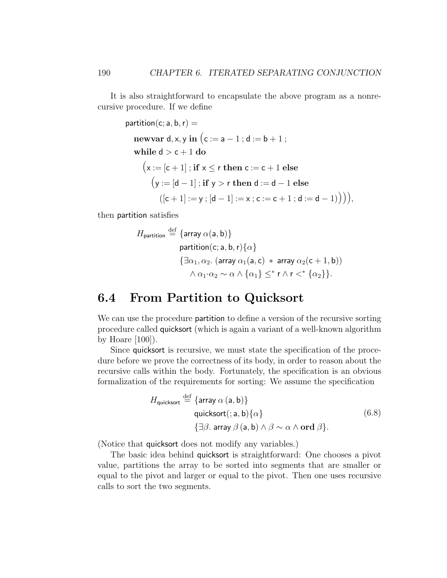It is also straightforward to encapsulate the above program as a nonrecursive procedure. If we define

partition(c; a, b, r) =  
\n
$$
\begin{aligned}\n &\text{newvar } d, x, y \text{ in } \left( c := a - 1 \, ; d := b + 1 \, ; \right. \\
 &\text{while } d > c + 1 \, \text{do} \\
 &\left( x := [c + 1] \, ; \, \text{if } x \le r \, \text{then } c := c + 1 \, \text{else} \right. \\
 &\left( y := [d - 1] \, ; \, \text{if } y > r \, \text{then } d := d - 1 \, \text{else} \right. \\
 &\left( [c + 1] := y \, ; \, [d - 1] := x \, ; c := c + 1 \, ; d := d - 1) \right) \right),\n \end{aligned}
$$

then partition satisfies

$$
H_{\text{partition}} \stackrel{\text{def}}{=} \{\text{array } \alpha(a, b)\}
$$
\n
$$
\text{partition}(c; a, b, r) \{\alpha\}
$$
\n
$$
\{\exists \alpha_1, \alpha_2. \ (\text{array } \alpha_1(a, c) \ * \ \text{array } \alpha_2(c + 1, b))
$$
\n
$$
\land \ \alpha_1 \cdot \alpha_2 \sim \alpha \land \{\alpha_1\} \leq^* r \land r <^* \{\alpha_2\}\}.
$$

#### 6.4 From Partition to Quicksort

We can use the procedure partition to define a version of the recursive sorting procedure called quicksort (which is again a variant of a well-known algorithm by Hoare  $[100]$ ).

Since quicksort is recursive, we must state the specification of the procedure before we prove the correctness of its body, in order to reason about the recursive calls within the body. Fortunately, the specification is an obvious formalization of the requirements for sorting: We assume the specification

$$
H_{\text{quicksort}} \stackrel{\text{def}}{=} \{\text{array } \alpha \text{ (a, b)}\} \\
 \text{quicksort}(\cdot; \mathbf{a}, \mathbf{b}) \{\alpha\} \\
 \{\exists \beta. \text{ array } \beta \text{ (a, b)} \land \beta \sim \alpha \land \text{ord } \beta\}.
$$
\n
$$
(6.8)
$$

(Notice that quicksort does not modify any variables.)

The basic idea behind quicksort is straightforward: One chooses a pivot value, partitions the array to be sorted into segments that are smaller or equal to the pivot and larger or equal to the pivot. Then one uses recursive calls to sort the two segments.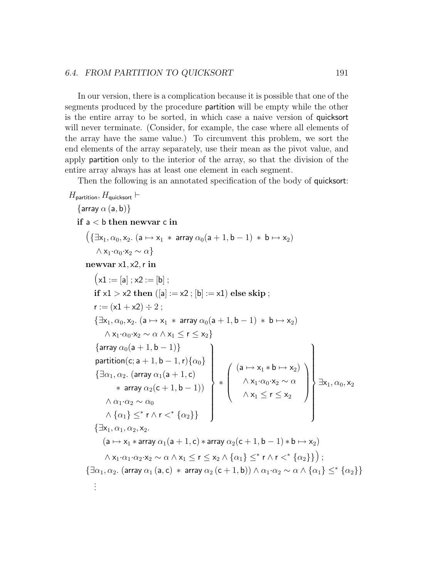#### 6.4. FROM PARTITION TO QUICKSORT 191

In our version, there is a complication because it is possible that one of the segments produced by the procedure partition will be empty while the other is the entire array to be sorted, in which case a naive version of quicksort will never terminate. (Consider, for example, the case where all elements of the array have the same value.) To circumvent this problem, we sort the end elements of the array separately, use their mean as the pivot value, and apply partition only to the interior of the array, so that the division of the entire array always has at least one element in each segment.

Then the following is an annotated specification of the body of quicksort:

```
H_{\mathsf{partition}}, H_{\mathsf{quicksort}} \vdash\{array \alpha (a, b)}
    if a < b then newvar c in
          (\{\exists x_1, \alpha_0, x_2. (a \mapsto x_1 \ast array \alpha_0(a + 1, b - 1) \ast b \mapsto x_2)\wedge x<sub>1</sub>·\alpha_0·x<sub>2</sub> ∼ \alpha}
          newvar x1, x2, r in
               (x1 := [a]; x2 := [b];
               if x1 > x2 then (|a| := x2 ; |b| := x1) else skip ;
               r := (x1 + x2) \div 2:
               {\exists x_1, \alpha_0, x_2. (a \mapsto x_1 * array \alpha_0(a + 1, b - 1) * b \mapsto x_2)}\wedge x_1 \cdot \alpha_0 \cdot x_2 \sim \alpha \wedge x_1 \leq r \leq x_2\{\text{array }\alpha_0(\mathsf{a}+1,\mathsf{b}-1)\}partition(\mathsf{c};\mathsf{a}+1,\mathsf{b}-1,\mathsf{r})\{\alpha_0\}\{\exists \alpha_1, \alpha_2. (array \alpha_1(\mathsf{a}+1,\mathsf{c})* array \alpha_2({\mathsf{c}}+1, {\mathsf{b}}-1))\wedge \alpha_1 \cdot \alpha_2 \sim \alpha_0\wedge \{\alpha_1\} \leq^* r \wedge r \lt^* \{\alpha_2\}\}\mathcal{L}\begin{array}{c} \begin{array}{c} \end{array} \\ \begin{array}{c} \end{array} \end{array}\begin{array}{c} \hline \end{array}∗
                                                                                                   \sqrt{ }\overline{\phantom{a}}(a \mapsto x_1 * b \mapsto x_2)\wedge x<sub>1</sub>·\alpha_0·x<sub>2</sub> ∼ α
                                                                                                             \wedge x_1 \le r \le x_2\setminus\overline{\phantom{a}}\mathcal{L}\begin{array}{c} \hline \end{array}\int\existsx_1, \alpha_0,x_2\{\exists x_1, \alpha_1, \alpha_2, x_2.\}(a \mapsto x_1 * \text{array} \alpha_1(a + 1, c) * \text{array} \alpha_2(c + 1, b - 1) * b \mapsto x_2)\wedge x<sub>1</sub>·\alpha_1·\alpha_2·x<sub>2</sub> \sim \alpha \wedge x<sub>1</sub> \leq r \leq x<sub>2</sub> \wedge \{\alpha_1\} \leq^* r \wedge r <^* \{\alpha_2\}\} \}\{\exists \alpha_1, \alpha_2\}. (array \alpha_1 (a, c) * array \alpha_2 (c + 1, b)) \wedge \alpha_1 \cdot \alpha_2 \sim \alpha \wedge \{\alpha_1\} \leq^* \{\alpha_2\}.
                .
                .
```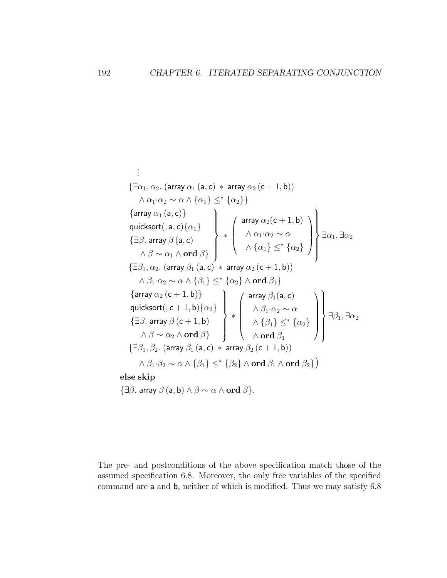$$
\begin{aligned}\n&\vdots \\
&\{\exists\alpha_1,\alpha_2.\ (\text{array } \alpha_1\ (a,c)*\ \text{array}\ \alpha_2\ (c+1,b)) \\
&\wedge\alpha_1\cdot\alpha_2\sim\alpha\wedge\{\alpha_1\}\leq^*\{\alpha_2\}\} \\
&\{\text{array } \alpha_1\ (a,c)\} \\
&\{\exists\beta.\ \text{array}\ \beta\ (a,c) \\
&\wedge\beta\sim\alpha_1\wedge\text{ord}\ \beta\} \\
&\{\exists\beta_1,\alpha_2.\ (\text{array }\beta_1\ (a,c)*\ \text{array}\ \alpha_2(c+1,b) \\
&\wedge\{\alpha_1\cdot\alpha_2\sim\alpha\} \\
&\wedge\{\alpha_1\}\leq^*\{\alpha_2\}\}\n\end{aligned}\n\bigg\} \Rightarrow \begin{pmatrix}\n&\text{array } \alpha_2(c+1,b) \\
&\wedge\alpha_1\cdot\alpha_2\sim\alpha \\
&\wedge\{\alpha_1\}\leq^*\{\alpha_2\} \\
&\wedge\{\alpha_1\}\leq^*\{\alpha_2\}\n\end{pmatrix}\n\bigg\} \exists\alpha_1,\exists\alpha_2\n\n\{\exists\beta_1,\alpha_2.\ (\text{array }\beta_1\ (a,c)*\ \text{array}\ \alpha_2\ (c+1,b)) \\
&\{\text{array } \alpha_2\ (c+1,b)\} \\
&\{\exists\beta_1.\ \text{array}\ \beta\ (c+1,b)\} \\
&\{\exists\beta_1.\ \text{array}\ \beta\ (c+1,b)\} \\
&\wedge\beta_1\cdot\alpha_2\sim\alpha \\
&\{\exists\beta_1,\beta_2.\ (\text{array }\beta_1\ (a,c)*\ \text{array}\ \beta_2\ (c+1,b))\n\end{pmatrix}\n\bigg\} \Rightarrow \begin{pmatrix}\n&\text{array } \beta_1(a,c) \\
&\wedge\beta_1\} \leq^*\{\alpha_2\} \\
&\wedge\text{ord}\ \beta_1 \\
&\wedge\text{ord}\ \beta_1\n\end{pmatrix} \Rightarrow \begin{pmatrix}\n&\text{array } \beta_1(a,c) \\
&\wedge\{\beta_1\} \leq^*\{\alpha_2\} \\
&\wedge\text{ord}\ \beta_1\n\end{pmatrix}\n\end{aligned}
$$

{ $\exists \beta$ . array  $\beta$  (a, b)  $\land \beta \sim \alpha \land \text{ord } \beta$ }.

The pre- and postconditions of the above specification match those of the assumed specification 6.8. Moreover, the only free variables of the specified command are a and b, neither of which is modified. Thus we may satisfy 6.8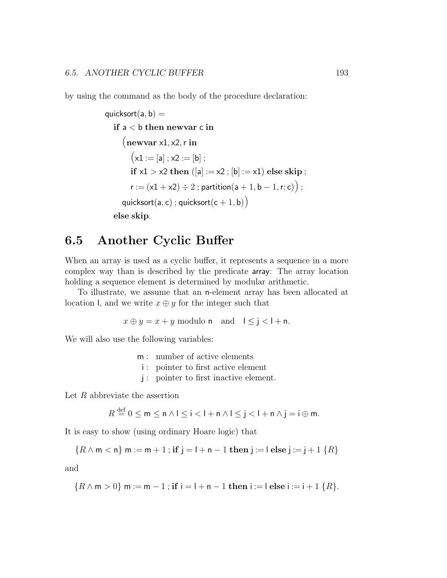by using the command as the body of the procedure declaration:

$$
\begin{aligned}\n\text{quicksort}(a, b) &= \\
\text{if } a < b \text{ then } \text{newvar } c \text{ in} \\
&\quad \text{(newvar } x1, x2, r \text{ in} \\
&\quad \text{(x1 := [a] ; x2 := [b];} \\
\text{if } x1 > x2 \text{ then } ([a] := x2 ; [b] := x1) \text{ else skip}; \\
&\quad \text{r} := (x1 + x2) \div 2 \text{; partition}(a + 1, b - 1, r; c)) \\
\text{quicksort}(a, c) \text{; quicksort}(c + 1, b)) \\
\text{else skip.}\n\end{aligned}
$$

#### 6.5 Another Cyclic Buffer

When an array is used as a cyclic buffer, it represents a sequence in a more complex way than is described by the predicate array: The array location holding a sequence element is determined by modular arithmetic.

To illustrate, we assume that an n-element array has been allocated at location l, and we write  $x \oplus y$  for the integer such that

$$
x \oplus y = x + y
$$
 modulo **n** and  $1 \le j < l + n$ .

We will also use the following variables:

m : number of active elements

i : pointer to first active element

j : pointer to first inactive element.

Let  $R$  abbreviate the assertion

 $R \stackrel{\text{def}}{=} 0 \le m \le n \wedge 1 \le i < l + n \wedge l \le j < l + n \wedge j = i \oplus m.$ 

It is easy to show (using ordinary Hoare logic) that

$$
\{R \wedge m < n\} \; m := m + 1 \; ; \; \textbf{if} \; j = l + n - 1 \; \textbf{then} \; j := l \; \textbf{else} \; j := j + 1 \; \{R\}
$$

and

$$
\{R \wedge m > 0\} \text{ m} := m - 1 \text{ ; if } i = l + n - 1 \text{ then } i := l \text{ else } i := i + 1 \{R\}.
$$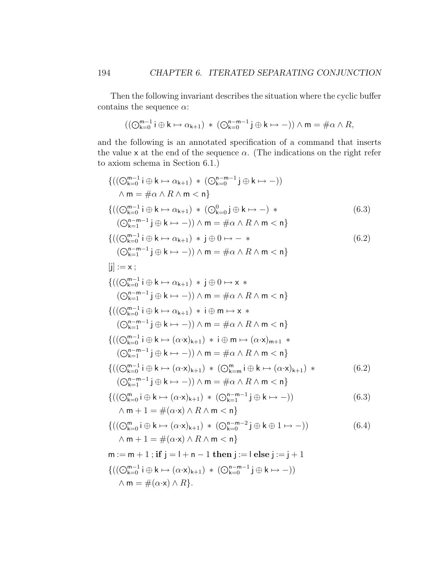Then the following invariant describes the situation where the cyclic buffer contains the sequence  $\alpha$ :

$$
((\bigcirc_{k=0}^{m-1}i\oplus k\mapsto \alpha_{k+1})\;*\;(\bigcirc_{k=0}^{n-m-1}j\oplus k\mapsto -))\wedge m=\#\alpha\wedge R,
$$

and the following is an annotated specification of a command that inserts the value x at the end of the sequence  $\alpha$ . (The indications on the right refer to axiom schema in Section 6.1.)

$$
\{((\bigodot_{k=0}^{m-1} i \oplus k \mapsto \alpha_{k+1}) * (\bigodot_{k=0}^{n-m-1} j \oplus k \mapsto -))
$$
\n
$$
\wedge m = \#\alpha \wedge R \wedge m < n\}
$$
\n
$$
\{((\bigodot_{k=0}^{n-m-1} i \oplus k \mapsto \alpha_{k+1}) * (\bigodot_{k=0}^{n} j \oplus k \mapsto -) * \qquad (6.3)
$$
\n
$$
(\bigodot_{k=1}^{n-m-1} i \oplus k \mapsto -)) \wedge m = \#\alpha \wedge R \wedge m < n\}
$$
\n
$$
\{((\bigodot_{k=0}^{n-m-1} i \oplus k \mapsto \alpha_{k+1}) * j \oplus 0 \mapsto - * \qquad (6.2)
$$
\n
$$
(\bigodot_{k=1}^{n-m-1} i \oplus k \mapsto -)) \wedge m = \#\alpha \wedge R \wedge m < n\}
$$
\n
$$
[j] := x ;
$$
\n
$$
\{((\bigodot_{k=0}^{n-m-1} i \oplus k \mapsto \alpha_{k+1}) * j \oplus 0 \mapsto x * \qquad (\bigodot_{k=1}^{n-m-1} i \oplus k \mapsto -)) \wedge m = \#\alpha \wedge R \wedge m < n\}
$$
\n
$$
\{((\bigodot_{k=0}^{n-m-1} i \oplus k \mapsto \alpha_{k+1}) * i \oplus m \mapsto x * \qquad (\bigodot_{k=n}^{n-m-1} j \oplus k \mapsto -)) \wedge m = \#\alpha \wedge R \wedge m < n\}
$$
\n
$$
\{((\bigodrod_{k=0}^{n-m-1} i \oplus k \mapsto (\alpha \cdot x)_{k+1}) * (\bigodot_{k=m}^{n-m} i \oplus k \mapsto (\alpha \cdot x)_{k+1}) * \qquad (6.2)
$$
\n
$$
(\bigodrod_{k=1}^{n-m-1} i \oplus k \mapsto -)) \wedge m = \#\alpha \wedge R \wedge m < n\}
$$
\n
$$
\{((\bigodrod_{k=0}^{n-m-1} i \oplus k \mapsto \alpha \cdot x)_{k+1}) * (\bigodot_{k=n}^{n-m-1} i \opl
$$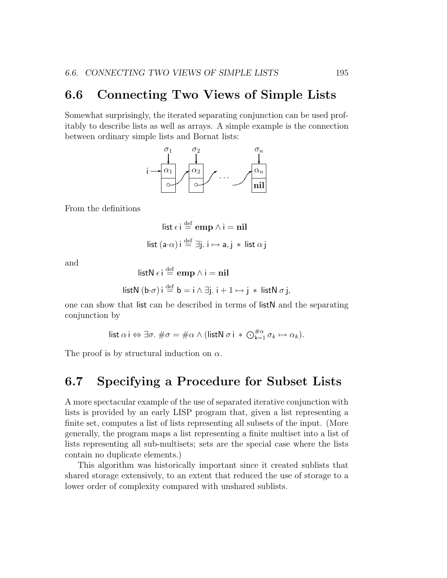#### 6.6 Connecting Two Views of Simple Lists

Somewhat surprisingly, the iterated separating conjunction can be used profitably to describe lists as well as arrays. A simple example is the connection between ordinary simple lists and Bornat lists:



From the definitions

$$
\begin{aligned}\n\text{list } \epsilon \, \text{i} &\stackrel{\text{def}}{=} \text{emp } \land \text{i} = \text{nil} \\
\text{list } (\text{a} \cdot \alpha) \, \text{i} &\stackrel{\text{def}}{=} \exists \text{j. i} \mapsto \text{a, j} * \text{ list } \alpha \, \text{j}\n\end{aligned}
$$

and

listN 
$$
\epsilon
$$
 i  $\stackrel{\text{def}}{=} \text{emp } \wedge$  i = nil

listN 
$$
(\mathbf{b} \cdot \sigma)
$$
 i  $\stackrel{\text{def}}{=} \mathbf{b} = \mathbf{i} \wedge \exists \mathbf{j}$ .  $\mathbf{i} + 1 \mapsto \mathbf{j} * \mathbf{listN} \sigma \mathbf{j}$ ,

one can show that list can be described in terms of listN and the separating conjunction by

list 
$$
\alpha
$$
 i  $\Leftrightarrow \exists \sigma$ .  $\#\sigma = \#\alpha \wedge (\text{listN }\sigma \text{ i} * \bigcirc_{k=1}^{\#\alpha} \sigma_k \mapsto \alpha_k)$ .

The proof is by structural induction on  $\alpha$ .

#### 6.7 Specifying a Procedure for Subset Lists

A more spectacular example of the use of separated iterative conjunction with lists is provided by an early LISP program that, given a list representing a finite set, computes a list of lists representing all subsets of the input. (More generally, the program maps a list representing a finite multiset into a list of lists representing all sub-multisets; sets are the special case where the lists contain no duplicate elements.)

This algorithm was historically important since it created sublists that shared storage extensively, to an extent that reduced the use of storage to a lower order of complexity compared with unshared sublists.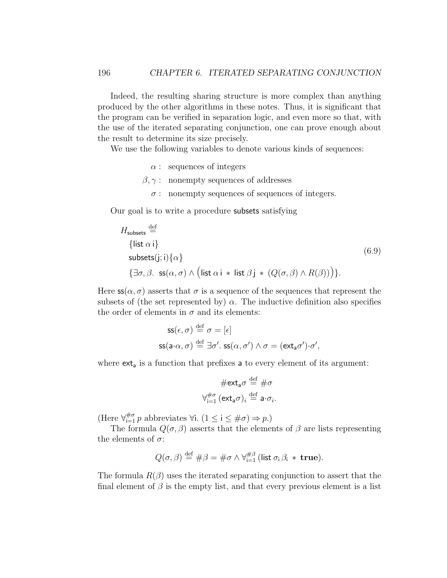Indeed, the resulting sharing structure is more complex than anything produced by the other algorithms in these notes. Thus, it is significant that the program can be verified in separation logic, and even more so that, with the use of the iterated separating conjunction, one can prove enough about the result to determine its size precisely.

We use the following variables to denote various kinds of sequences:

- $\alpha$ : sequences of integers
- $\beta, \gamma$ : nonempty sequences of addresses
	- $\sigma$ : nonempty sequences of sequences of integers.

Our goal is to write a procedure subsets satisfying

$$
H_{\text{subsets}} \stackrel{\text{def}}{=} \{ \text{list } \alpha \text{ i} \}
$$
  
\n
$$
\{ \exists \sigma, \beta. \text{ ss}(\alpha, \sigma) \land \left( \text{list } \alpha \text{ i} * \text{ list } \beta \text{ j} * (Q(\sigma, \beta) \land R(\beta)) \right) \}.
$$
  
\n(6.9)

Here  $\mathsf{ss}(\alpha,\sigma)$  asserts that  $\sigma$  is a sequence of the sequences that represent the subsets of (the set represented by)  $\alpha$ . The inductive definition also specifies the order of elements in  $\sigma$  and its elements:

$$
\begin{aligned} \mathsf{ss}(\epsilon,\sigma) &\stackrel{\text{def}}{=} \sigma = [\epsilon] \\ \mathsf{ss}(\mathsf{a} \cdot \alpha,\sigma) &\stackrel{\text{def}}{=} \exists \sigma'. \; \mathsf{ss}(\alpha,\sigma') \land \sigma = (\mathsf{ext}_{\mathsf{a}} \sigma') \cdot \sigma', \end{aligned}
$$

where  $\mathsf{ext}_\mathsf{a}$  is a function that prefixes  $\mathsf{a}$  to every element of its argument:

$$
\#\text{ext}_{\mathsf{a}}\sigma \stackrel{\text{def}}{=} \#\sigma
$$

$$
\forall_{i=1}^{\#\sigma} (\text{ext}_{\mathsf{a}}\sigma)_i \stackrel{\text{def}}{=} \mathsf{a} \cdot \sigma_i.
$$

(Here  $\forall_{i=1}^{\# \sigma} p$  abbreviates  $\forall i.$   $(1 \leq i \leq \# \sigma) \Rightarrow p.$ )

The formula  $Q(\sigma, \beta)$  asserts that the elements of  $\beta$  are lists representing the elements of  $\sigma$ :

$$
Q(\sigma,\beta) \stackrel{\text{def}}{=} \#\beta = \#\sigma \wedge \forall_{i=1}^{\#\beta} \text{ (list } \sigma_i \beta_i \ast \textbf{ true)}.
$$

The formula  $R(\beta)$  uses the iterated separating conjunction to assert that the final element of  $\beta$  is the empty list, and that every previous element is a list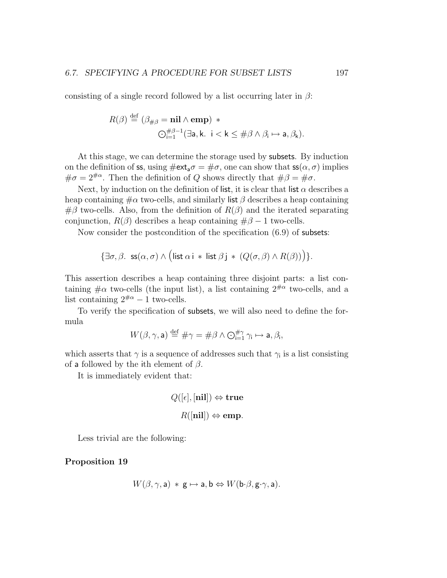consisting of a single record followed by a list occurring later in  $\beta$ :

$$
R(\beta) \stackrel{\text{def}}{=} (\beta_{\#\beta} = \mathbf{nil} \wedge \mathbf{emp}) * \n\bigcirc_{i=1}^{\#\beta-1} (\exists \mathsf{a}, \mathsf{k}. \ \mathsf{i} < \mathsf{k} \leq \#\beta \wedge \beta_{\mathsf{i}} \mapsto \mathsf{a}, \beta_{\mathsf{k}}).
$$

At this stage, we can determine the storage used by subsets. By induction on the definition of ss, using  $\#\text{ext}_a\sigma = \#\sigma$ , one can show that  $\text{ss}(\alpha, \sigma)$  implies  $\#\sigma = 2^{\#\alpha}$ . Then the definition of Q shows directly that  $\#\beta = \#\sigma$ .

Next, by induction on the definition of list, it is clear that list  $\alpha$  describes a heap containing  $\#\alpha$  two-cells, and similarly list  $\beta$  describes a heap containing  $\#\beta$  two-cells. Also, from the definition of  $R(\beta)$  and the iterated separating conjunction,  $R(\beta)$  describes a heap containing  $\#\beta - 1$  two-cells.

Now consider the postcondition of the specification (6.9) of subsets:

$$
\{\exists \sigma, \beta. \ \mathsf{ss}(\alpha, \sigma) \land (\mathsf{list}\ \alpha\ \mathsf{i} \ * \ \mathsf{list}\ \beta\ \mathsf{j} \ * \ (Q(\sigma, \beta) \land R(\beta))\}.
$$

This assertion describes a heap containing three disjoint parts: a list containing  $\#\alpha$  two-cells (the input list), a list containing  $2^{*\mu\alpha}$  two-cells, and a list containing  $2^{\text{#}\alpha} - 1$  two-cells.

To verify the specification of subsets, we will also need to define the formula

$$
W(\beta, \gamma, \mathsf{a}) \stackrel{\text{def}}{=} \# \gamma = \# \beta \land \bigodot_{\mathsf{i}=1}^{\# \gamma} \gamma_{\mathsf{i}} \mapsto \mathsf{a}, \beta_{\mathsf{i}},
$$

which asserts that  $\gamma$  is a sequence of addresses such that  $\gamma_i$  is a list consisting of a followed by the ith element of  $\beta$ .

It is immediately evident that:

$$
Q([\epsilon], [\mathbf{nil}]) \Leftrightarrow \mathbf{true}
$$

$$
R([\mathbf{nil}]) \Leftrightarrow \mathbf{emp}.
$$

Less trivial are the following:

Proposition 19

$$
W(\beta, \gamma, \mathsf{a}) \, * \, \mathsf{g} \mapsto \mathsf{a}, \mathsf{b} \Leftrightarrow W(\mathsf{b} \cdot \beta, \mathsf{g} \cdot \gamma, \mathsf{a}).
$$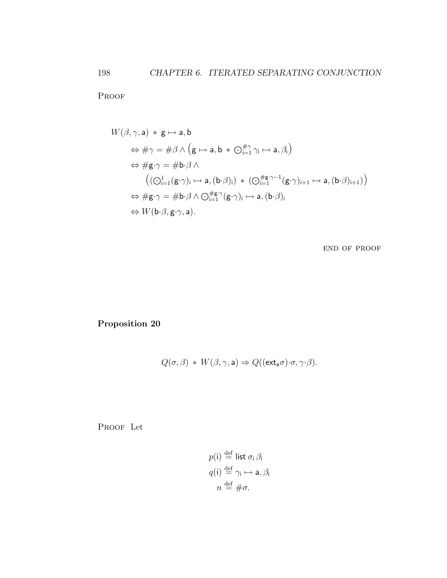PROOF

$$
W(\beta, \gamma, a) * g \mapsto a, b
$$
  
\n
$$
\Leftrightarrow \#\gamma = \#\beta \land (g \mapsto a, b * \bigcirc_{i=1}^{\#\gamma} \gamma_i \mapsto a, \beta_i)
$$
  
\n
$$
\Leftrightarrow \#g \cdot \gamma = \#\mathbf{b} \cdot \beta \land
$$
  
\n
$$
((\bigcirc_{i=1}^1 (g \cdot \gamma)_i \mapsto a, (b \cdot \beta)_i) * (\bigcirc_{i=1}^{\#\mathbf{g} \cdot \gamma - 1} (g \cdot \gamma)_{i+1} \mapsto a, (b \cdot \beta)_{i+1}))
$$
  
\n
$$
\Leftrightarrow \#g \cdot \gamma = \#\mathbf{b} \cdot \beta \land \bigcirc_{i=1}^{\#\mathbf{g} \cdot \gamma} (g \cdot \gamma)_i \mapsto a, (b \cdot \beta)_i
$$
  
\n
$$
\Leftrightarrow W(\mathbf{b} \cdot \beta, g \cdot \gamma, a).
$$

end of proof

Proposition 20

$$
Q(\sigma,\beta) * W(\beta,\gamma,\mathsf{a}) \Rightarrow Q((\mathsf{ext}_{\mathsf{a}}\sigma)\cdot\sigma,\gamma\cdot\beta).
$$

PROOF Let

$$
p(i) \stackrel{\text{def}}{=} \text{list } \sigma_i \beta_i
$$
  

$$
q(i) \stackrel{\text{def}}{=} \gamma_i \mapsto \mathsf{a}, \beta_i
$$
  

$$
n \stackrel{\text{def}}{=} \#\sigma.
$$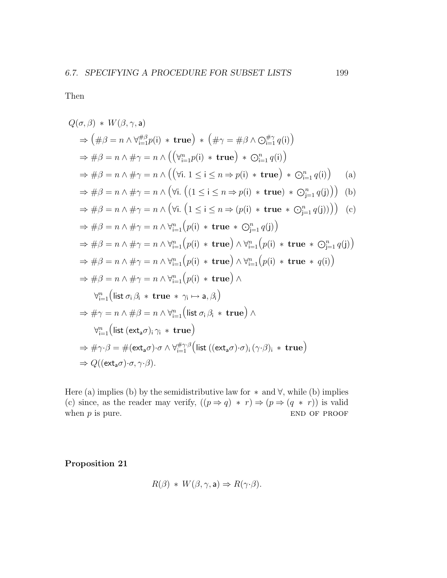Then

$$
Q(\sigma,\beta) * W(\beta,\gamma,a)
$$
  
\n
$$
\Rightarrow (\#\beta = n \land \forall_{i=1}^{\# \beta} p(i) * true) * (\#\gamma = \#\beta \land \bigcirc_{i=1}^{\# \gamma} q(i))
$$
  
\n
$$
\Rightarrow \#\beta = n \land \#\gamma = n \land ((\forall_{i=1}^n p(i) * true) * \bigcirc_{i=1}^n q(i))
$$
  
\n
$$
\Rightarrow \#\beta = n \land \#\gamma = n \land ((\forall i. 1 \le i \le n \Rightarrow p(i) * true) * \bigcirc_{i=1}^n q(i))
$$
 (a)  
\n
$$
\Rightarrow \#\beta = n \land \#\gamma = n \land (\forall i. (1 \le i \le n \Rightarrow p(i) * true) * \bigcirc_{j=1}^n q(j))
$$
 (b)  
\n
$$
\Rightarrow \#\beta = n \land \#\gamma = n \land (\forall i. (1 \le i \le n \Rightarrow (p(i) * true \land \bigcirc_{j=1}^n q(j)))
$$
 (c)  
\n
$$
\Rightarrow \#\beta = n \land \#\gamma = n \land \forall_{i=1}^n (p(i) * true \land \bigcirc_{j=1}^n q(j))
$$
  
\n
$$
\Rightarrow \#\beta = n \land \#\gamma = n \land \forall_{i=1}^n (p(i) * true) \land \forall_{i=1}^n (p(i) * true \land \bigcirc_{j=1}^n q(j))
$$
  
\n
$$
\Rightarrow \#\beta = n \land \#\gamma = n \land \forall_{i=1}^n (p(i) * true \land \bigcirc_{i=1}^n (p(i) * true \land q(i))
$$
  
\n
$$
\Rightarrow \#\beta = n \land \#\gamma = n \land \forall_{i=1}^n (p(i) * true)
$$
  
\n
$$
\forall_{i=1}^n (list \sigma_i \beta_i * true \land \gamma_i \mapsto a, \beta_i)
$$
  
\n
$$
\Rightarrow \#\gamma = n \land \#\beta = n \land \forall_{i=1}^n (list \sigma_i \beta_i * true)
$$
  
\n
$$
\Rightarrow \#\gamma \beta = \#(\text{ext}_a \sigma) \cdot \sigma \land \forall_{i=1}^{\# \gamma} (\text{list } ((\text{ext}_a \sigma) \cdot \sigma_i) \cdot (\gamma \cdot \beta_i) * true)
$$
  
\n
$$
\Rightarrow Q((\text{ext
$$

Here (a) implies (b) by the semidistributive law for  $*$  and  $\forall$ , while (b) implies (c) since, as the reader may verify,  $((p \Rightarrow q) * r) \Rightarrow (p \Rightarrow (q * r))$  is valid when  $p$  is pure. END OF PROOF

Proposition 21

$$
R(\beta) * W(\beta, \gamma, \mathsf{a}) \Rightarrow R(\gamma \cdot \beta).
$$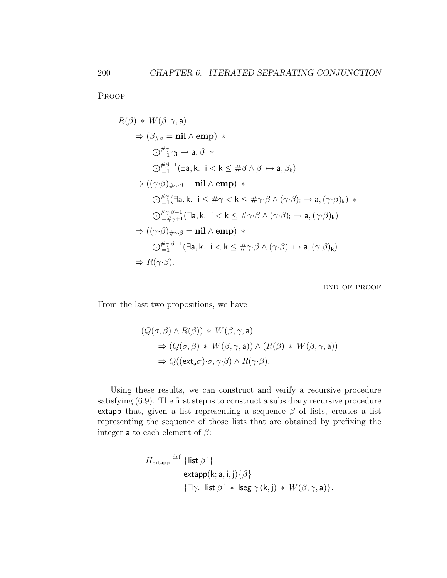**PROOF** 

$$
R(\beta) * W(\beta, \gamma, a)
$$
  
\n
$$
\Rightarrow (\beta_{\# \beta} = \mathbf{nil} \wedge \mathbf{emp}) *\n\sum_{i=1}^{\# \gamma} \gamma_i \mapsto a, \beta_i *\n\sum_{i=1}^{\# \beta - 1} (\exists a, k. \ i < k \leq \# \beta \wedge \beta_i \mapsto a, \beta_k)
$$
  
\n
$$
\Rightarrow ((\gamma \cdot \beta)_{\# \gamma \cdot \beta} = \mathbf{nil} \wedge \mathbf{emp}) *\n\sum_{i=1}^{\# \gamma} (\exists a, k. \ i \leq \# \gamma < k \leq \# \gamma \cdot \beta \wedge (\gamma \cdot \beta)_i \mapsto a, (\gamma \cdot \beta)_k) *\n\sum_{i=\# \gamma+1}^{\# \gamma \cdot \beta-1} (\exists a, k. \ i < k \leq \# \gamma \cdot \beta \wedge (\gamma \cdot \beta)_i \mapsto a, (\gamma \cdot \beta)_k)
$$
  
\n
$$
\Rightarrow ((\gamma \cdot \beta)_{\# \gamma \cdot \beta} = \mathbf{nil} \wedge \mathbf{emp}) *\n\sum_{i=1}^{\# \gamma \cdot \beta-1} (\exists a, k. \ i < k \leq \# \gamma \cdot \beta \wedge (\gamma \cdot \beta)_i \mapsto a, (\gamma \cdot \beta)_k)
$$
  
\n
$$
\Rightarrow R(\gamma \cdot \beta).
$$

end of proof

From the last two propositions, we have

$$
(Q(\sigma, \beta) \land R(\beta)) * W(\beta, \gamma, \mathbf{a})
$$
  
\n
$$
\Rightarrow (Q(\sigma, \beta) * W(\beta, \gamma, \mathbf{a})) \land (R(\beta) * W(\beta, \gamma, \mathbf{a}))
$$
  
\n
$$
\Rightarrow Q((\mathbf{ext}_{\mathbf{a}} \sigma) \cdot \sigma, \gamma \cdot \beta) \land R(\gamma \cdot \beta).
$$

Using these results, we can construct and verify a recursive procedure satisfying (6.9). The first step is to construct a subsidiary recursive procedure extapp that, given a list representing a sequence  $\beta$  of lists, creates a list representing the sequence of those lists that are obtained by prefixing the integer **a** to each element of  $\beta$ :

$$
H_{\text{extapp}} \stackrel{\text{def}}{=} \{ \text{list } \beta \, \text{i} \}
$$
  
 
$$
\text{extapp}(\text{k}; \text{a}, \text{i}, \text{j}) \{ \beta \}
$$
  
 
$$
\{ \exists \gamma. \text{ list } \beta \, \text{i} \, * \, \text{leeg } \gamma \, (\text{k}, \text{j}) \, * \, W(\beta, \gamma, \text{a}) \}.
$$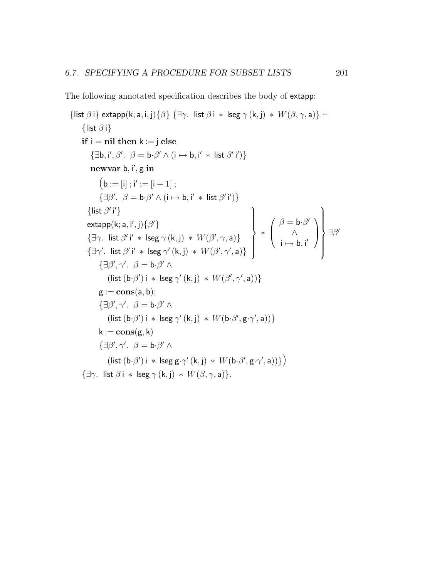The following annotated specification describes the body of extapp:

{list  $\beta$  i} extapp(k; a, i, j){ $\beta$ } { $\exists \gamma$ . list  $\beta$  i \* lseg  $\gamma$  (k, j) \*  $W(\beta, \gamma, a)$ }  $\vdash$ {list  $\beta$  i} if  $i = \text{nil}$  then  $k := i$  else  $\{\exists \mathbf{b}, \mathbf{i}', \beta', \beta = \mathbf{b} \cdot \beta' \land (\mathbf{i} \mapsto \mathbf{b}, \mathbf{i}' \ast \mathbf{list} \beta' \mathbf{i}')\}$ newvar b, i', g in  $(b := [i] ; i' := [i + 1] ;$  $\{\exists \beta'. \ \beta = \mathbf{b} \cdot \beta' \wedge (\mathbf{i} \mapsto \mathbf{b}, \mathbf{i}' \ast \mathbf{list} \beta' \mathbf{i}')\}$ {list  $\beta'$  i'} {list  $\beta'$  i'}  $extapp(k; a, i', j)$  $\{\beta'\}$ { $\exists \gamma$ . list  $\beta'$  i' \* lseg  $\gamma$  (k, j) \*  $W(\beta', \gamma, a)$ }  $\{\exists \gamma'. \text{ list } \beta' \text{ i'} * \text{ lseg } \gamma' (\mathsf{k},\mathsf{j}) * W(\beta',\gamma',\mathsf{a})\}$  $\mathcal{L}$  $\left\lfloor$  $\int$ ∗  $\sqrt{ }$  $\overline{ }$  $\beta = \mathbf{b} \cdot \beta'$ ∧  $i \mapsto b, i'$  $\setminus$  $\Big\}$  $\mathcal{L}$  $\left\lfloor$  $\int$  $\exists \beta'$  $\{\exists \beta', \gamma'. \ \beta = \mathbf{b} \cdot \beta' \wedge$ (list  $(b·β')$  i \* lseg  $\gamma'(k, j)$  \*  $W(\beta', \gamma', a))$ }  $g := \text{cons}(a, b);$  $\{\exists \beta', \gamma'. \ \beta = \mathbf{b} \cdot \beta' \wedge$ (list  $(b·β')i * lseg γ'(k, j) * W(b·β', g·γ', a))$ }  $k := \text{cons}(g, k)$  $\{\exists \beta', \gamma'. \ \beta = \mathbf{b} \cdot \beta' \wedge$  $\left(\mathsf{list}\left(\mathsf{b}\mathsf{\cdot}\beta'\right) \mathsf{i} \; * \; \mathsf{lseg}\mathsf{g}\mathsf{\cdot}\gamma'\left(\mathsf{k}, \mathsf{j}\right) \; * \; W(\mathsf{b}\mathsf{\cdot}\beta', \mathsf{g}\mathsf{\cdot}\gamma', \mathsf{a})\right)\right\}\right)$  $\{\exists \gamma. \; \text{list } \beta \text{ i} * \text{ lseg } \gamma \text{ (k, i)} * W(\beta, \gamma, \mathsf{a})\}.$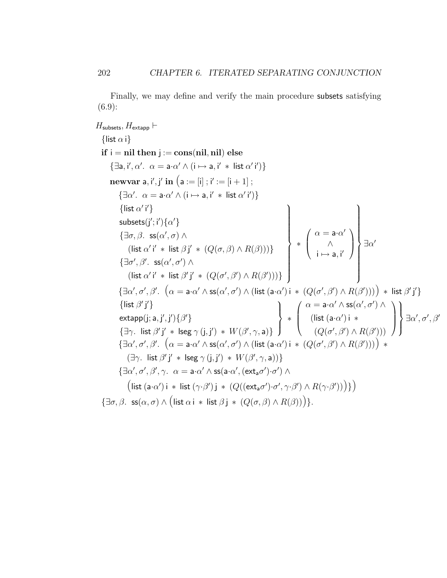Finally, we may define and verify the main procedure subsets satisfying  $(6.9):$ 

 $H_{\text{subsets}}, H_{\text{extapp}} \vdash$ {list  $\alpha$  i} if  $i = \text{nil}$  then  $j := \text{cons}(\text{nil}, \text{nil})$  else  $\{\exists a, i', \alpha'. \ \alpha = a \cdot \alpha' \wedge (i \mapsto a, i' * list \alpha' i')\}$  ${\bf newvar}\ {\bf a}, {\sf i}', {\sf j}'\ {\bf in}\ \big({\bf a} := [{\sf i}]~; {\sf i}':=[{\sf i}+1]\ ;$  $\{\exists \alpha'. \ \alpha = \mathsf{a} \cdot \alpha' \wedge (\mathsf{i} \mapsto \mathsf{a}, \mathsf{i}' \ast \mathsf{list} \alpha' \mathsf{i}')\}$ {list  $\alpha'$  i'}  $\mathsf{subsets}(j';i')\{\alpha'\}$  $\{\exists \sigma, \beta. \; \mathsf{ss}(\alpha', \sigma) \land$ (list  $\alpha'$  i' \* list  $\beta$  j' \*  $(Q(\sigma, \beta) \wedge R(\beta)))$ }  $\{\exists \sigma', \beta'$ . ss $(\alpha', \sigma') \wedge$ (list  $\alpha'$  i' \* list  $\beta'$  j' \*  $(Q(\sigma', \beta') \wedge R(\beta')))$ }  $\mathcal{L}$  $\begin{array}{c} \hline \end{array}$  $\begin{array}{c} \hline \end{array}$ ∗  $\sqrt{ }$  $\overline{ }$  $\alpha = \mathsf{a} \mathord{\cdot} \alpha'$ ∧  $i \mapsto a, i'$  $\setminus$  $\Big\}$   $\exists \alpha'$  $\mathcal{L}$  $\begin{array}{c} \hline \end{array}$  $\begin{array}{c} \hline \end{array}$  $\{\exists \alpha', \sigma', \beta'. \ \left(\alpha = \mathsf{a} \cdot \alpha' \wedge \mathsf{ss}(\alpha', \sigma') \wedge (\mathsf{list}\,(\mathsf{a} \cdot \alpha')\, \mathsf{i}\, \ast \, (Q(\sigma', \beta') \wedge R(\beta')) )\right) \,\ast\, \mathsf{list}\, \beta' \, \mathsf{j'}\}$  $\{$ list  $\beta'$ j' $\}$  $extapp(j; a, j', j')\{\beta'\}$  $\{\exists \gamma. \; \text{list } \beta' \; \text{if} \; * \; \text{lseg } \gamma \; (\text{j}, \text{j}') \; * \; W(\beta', \gamma, \text{a})\}$  $\mathcal{L}$  $\overline{\mathcal{L}}$  $\int$ ∗  $\sqrt{ }$  $\overline{\phantom{a}}$  $\alpha = \mathsf{a} \mathord{\cdot} \alpha' \wedge \mathsf{ss}(\alpha', \sigma') \wedge$ (list  $(a \cdot \alpha')$  i \*  $(Q(\sigma', \beta') \wedge R(\beta')))$  $\setminus$  $\Big\}$  $\mathcal{L}$  $\overline{\mathcal{L}}$  $\int$  $\exists \alpha', \sigma', \beta'$  $\{\exists\alpha',\sigma',\beta'.\ \left(\alpha=\mathsf{a}\mathord{\cdot}\alpha'\wedge\mathsf{ss}(\alpha',\sigma')\wedge\left(\mathsf{list}\left(\mathsf{a}\mathord{\cdot}\alpha'\right)\mathsf{i}\ *~\left(Q(\sigma',\beta')\wedge R(\beta')\right)\right)\right)\ *$  $(\exists \gamma. \text{ list } \beta' j' * \text{ leg } \gamma(j, j') * W(\beta', \gamma, a))$  $\{\exists \alpha', \sigma', \beta', \gamma. \ \alpha = \mathsf{a} \mathord{\cdot} \alpha' \wedge \mathsf{ss}(\mathsf{a} \mathord{\cdot} \alpha', (\mathsf{ext}_\mathsf{a} \sigma') \mathord{\cdot} \sigma') \wedge$  $\big(\textsf{list} \; (\textsf{a} \cdot \alpha') \; \textsf{i} \; * \; \textsf{list} \; (\gamma \cdot \beta') \; \textsf{j} \; * \; (Q((\textsf{ext}_{\textsf{a}} \sigma') \cdot \sigma', \gamma \cdot \beta') \land R(\gamma \cdot \beta')) \big) \big\}\big)$  $\{\exists \sigma, \beta. \; \mathsf{ss}(\alpha, \sigma) \land (\mathsf{list} \alpha \mathsf{i} * \mathsf{list} \beta \mathsf{j} * (Q(\sigma, \beta) \land R(\beta)))\}.$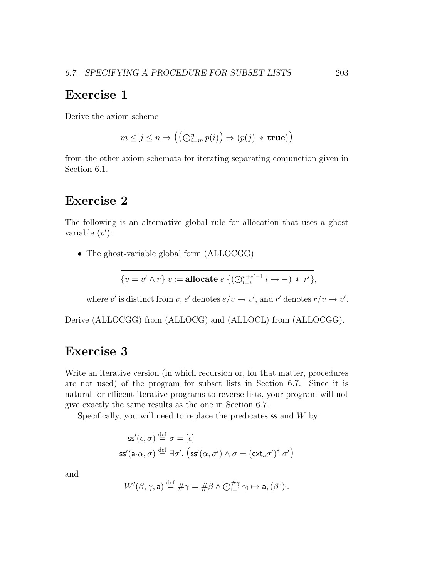#### Exercise 1

Derive the axiom scheme

$$
m \le j \le n \Rightarrow ((\bigodot_{i=m}^{n} p(i)) \Rightarrow (p(j) * \text{true}))
$$

from the other axiom schemata for iterating separating conjunction given in Section 6.1.

#### Exercise 2

The following is an alternative global rule for allocation that uses a ghost variable  $(v')$ :

• The ghost-variable global form (ALLOCGG)

$$
\{v = v' \wedge r\} \ v := \textbf{allocate} \ e \ \{(\bigodot_{i=v}^{v+e'-1} i \mapsto -) \ * \ r'\},\
$$

where  $v'$  is distinct from  $v, e'$  denotes  $e/v \to v'$ , and  $r'$  denotes  $r/v \to v'$ .

Derive (ALLOCGG) from (ALLOCG) and (ALLOCL) from (ALLOCGG).

#### Exercise 3

Write an iterative version (in which recursion or, for that matter, procedures are not used) of the program for subset lists in Section 6.7. Since it is natural for efficent iterative programs to reverse lists, your program will not give exactly the same results as the one in Section 6.7.

Specifically, you will need to replace the predicates  $\mathsf{ss}\n$  and  $W$  by

$$
\begin{aligned} \mathsf{ss}'(\epsilon,\sigma) &\stackrel{\text{def}}{=} \sigma = [\epsilon] \\ \mathsf{ss}'(\mathsf{a}\cdot\alpha,\sigma) &\stackrel{\text{def}}{=} \exists \sigma'. \left( \mathsf{ss}'(\alpha,\sigma') \land \sigma = (\mathsf{ext}_{\mathsf{a}}\sigma')^\dagger \cdot \sigma' \right) \end{aligned}
$$

and

$$
W'(\beta, \gamma, \mathsf{a}) \stackrel{\text{def}}{=} \# \gamma = \# \beta \land \bigodot_{i=1}^{\# \gamma} \gamma_i \mapsto \mathsf{a}, (\beta^{\dagger})_i.
$$